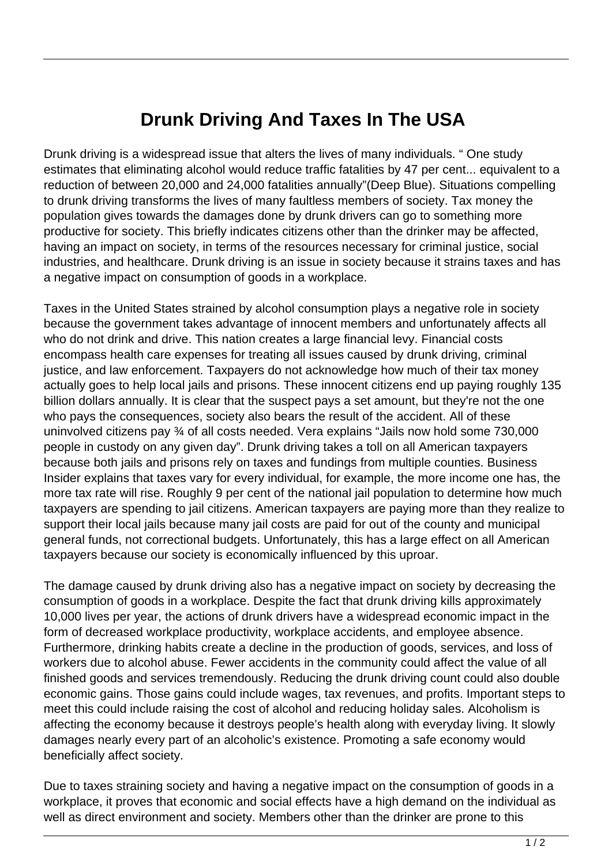## **Drunk Driving And Taxes In The USA**

Drunk driving is a widespread issue that alters the lives of many individuals. " One study estimates that eliminating alcohol would reduce traffic fatalities by 47 per cent... equivalent to a reduction of between 20,000 and 24,000 fatalities annually"(Deep Blue). Situations compelling to drunk driving transforms the lives of many faultless members of society. Tax money the population gives towards the damages done by drunk drivers can go to something more productive for society. This briefly indicates citizens other than the drinker may be affected, having an impact on society, in terms of the resources necessary for criminal justice, social industries, and healthcare. Drunk driving is an issue in society because it strains taxes and has a negative impact on consumption of goods in a workplace.

Taxes in the United States strained by alcohol consumption plays a negative role in society because the government takes advantage of innocent members and unfortunately affects all who do not drink and drive. This nation creates a large financial levy. Financial costs encompass health care expenses for treating all issues caused by drunk driving, criminal justice, and law enforcement. Taxpayers do not acknowledge how much of their tax money actually goes to help local jails and prisons. These innocent citizens end up paying roughly 135 billion dollars annually. It is clear that the suspect pays a set amount, but they're not the one who pays the consequences, society also bears the result of the accident. All of these uninvolved citizens pay ¾ of all costs needed. Vera explains "Jails now hold some 730,000 people in custody on any given day". Drunk driving takes a toll on all American taxpayers because both jails and prisons rely on taxes and fundings from multiple counties. Business Insider explains that taxes vary for every individual, for example, the more income one has, the more tax rate will rise. Roughly 9 per cent of the national jail population to determine how much taxpayers are spending to jail citizens. American taxpayers are paying more than they realize to support their local jails because many jail costs are paid for out of the county and municipal general funds, not correctional budgets. Unfortunately, this has a large effect on all American taxpayers because our society is economically influenced by this uproar.

The damage caused by drunk driving also has a negative impact on society by decreasing the consumption of goods in a workplace. Despite the fact that drunk driving kills approximately 10,000 lives per year, the actions of drunk drivers have a widespread economic impact in the form of decreased workplace productivity, workplace accidents, and employee absence. Furthermore, drinking habits create a decline in the production of goods, services, and loss of workers due to alcohol abuse. Fewer accidents in the community could affect the value of all finished goods and services tremendously. Reducing the drunk driving count could also double economic gains. Those gains could include wages, tax revenues, and profits. Important steps to meet this could include raising the cost of alcohol and reducing holiday sales. Alcoholism is affecting the economy because it destroys people's health along with everyday living. It slowly damages nearly every part of an alcoholic's existence. Promoting a safe economy would beneficially affect society.

Due to taxes straining society and having a negative impact on the consumption of goods in a workplace, it proves that economic and social effects have a high demand on the individual as well as direct environment and society. Members other than the drinker are prone to this